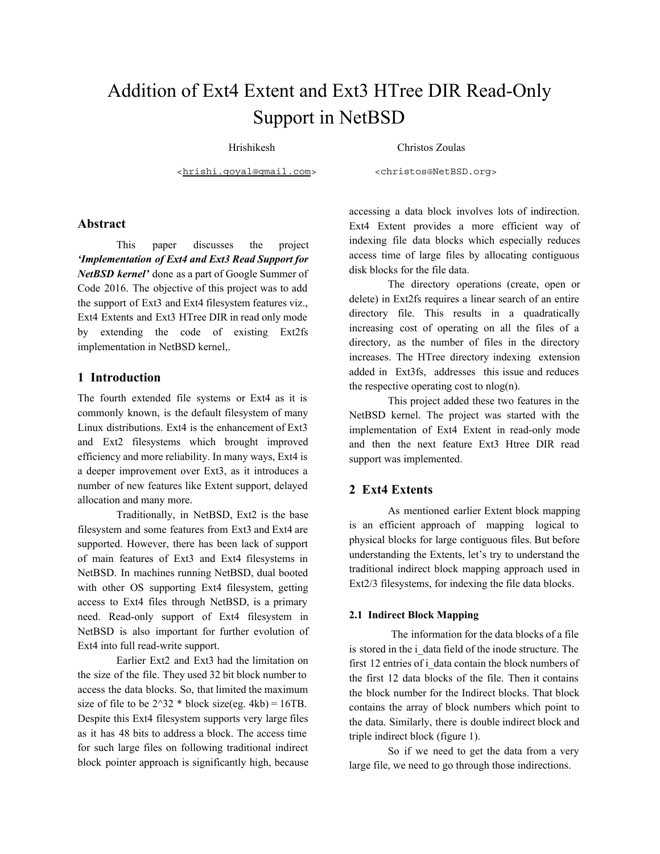# Addition of Ext4 Extent and Ext3 HTree DIR Read-Only Support in NetBSD

Hrishikesh Christos Zoulas

<[hrishi.goyal@gmail.com>](mailto:hrishi.goyal@gmail.com) <christos@NetBSD.org>

## **Abstract**

This paper discusses the project *'Implementation of Ext4 and Ext3 Read Support for NetBSD kernel'* done as a part of Google Summer of Code 2016. The objective of this project was to add the support of Ext3 and Ext4 filesystem features viz., Ext4 Extents and Ext3 HTree DIR in read only mode by extending the code of existing Ext2fs implementation in NetBSD kernel,.

## **1 Introduction**

The fourth extended file systems or Ext4 as it is commonly known, is the default filesystem of many Linux distributions. Ext4 is the enhancement of Ext3 and Ext2 filesystems which brought improved efficiency and more reliability. In many ways, Ext4 is a deeper improvement over Ext3, as it introduces a number of new features like Extent support, delayed allocation and many more.

Traditionally, in NetBSD, Ext2 is the base filesystem and some features from Ext3 and Ext4 are supported. However, there has been lack of support of main features of Ext3 and Ext4 filesystems in NetBSD. In machines running NetBSD, dual booted with other OS supporting Ext4 filesystem, getting access to Ext4 files through NetBSD, is a primary need. Read-only support of Ext4 filesystem in NetBSD is also important for further evolution of Ext4 into full read-write support.

Earlier Ext2 and Ext3 had the limitation on the size of the file. They used 32 bit block number to access the data blocks. So, that limited the maximum size of file to be  $2^{\wedge}32$  \* block size(eg. 4kb) = 16TB. Despite this Ext4 filesystem supports very large files as it has 48 bits to address a block. The access time for such large files on following traditional indirect block pointer approach is significantly high, because accessing a data block involves lots of indirection. Ext4 Extent provides a more efficient way of indexing file data blocks which especially reduces access time of large files by allocating contiguous disk blocks for the file data.

The directory operations (create, open or delete) in Ext2fs requires a linear search of an entire directory file. This results in a quadratically increasing cost of operating on all the files of a directory, as the number of files in the directory increases. The HTree directory indexing extension added in Ext3fs, addresses this issue and reduces the respective operating cost to  $nlog(n)$ .

This project added these two features in the NetBSD kernel. The project was started with the implementation of Ext4 Extent in read-only mode and then the next feature Ext3 Htree DIR read support was implemented.

## **2 Ext4 Extents**

As mentioned earlier Extent block mapping is an efficient approach of mapping logical to physical blocks for large contiguous files. But before understanding the Extents, let's try to understand the traditional indirect block mapping approach used in Ext2/3 filesystems, for indexing the file data blocks.

#### **2.1 Indirect Block Mapping**

The information for the data blocks of a file is stored in the i\_data field of the inode structure. The first 12 entries of i\_data contain the block numbers of the first 12 data blocks of the file. Then it contains the block number for the Indirect blocks. That block contains the array of block numbers which point to the data. Similarly, there is double indirect block and triple indirect block (figure 1).

So if we need to get the data from a very large file, we need to go through those indirections.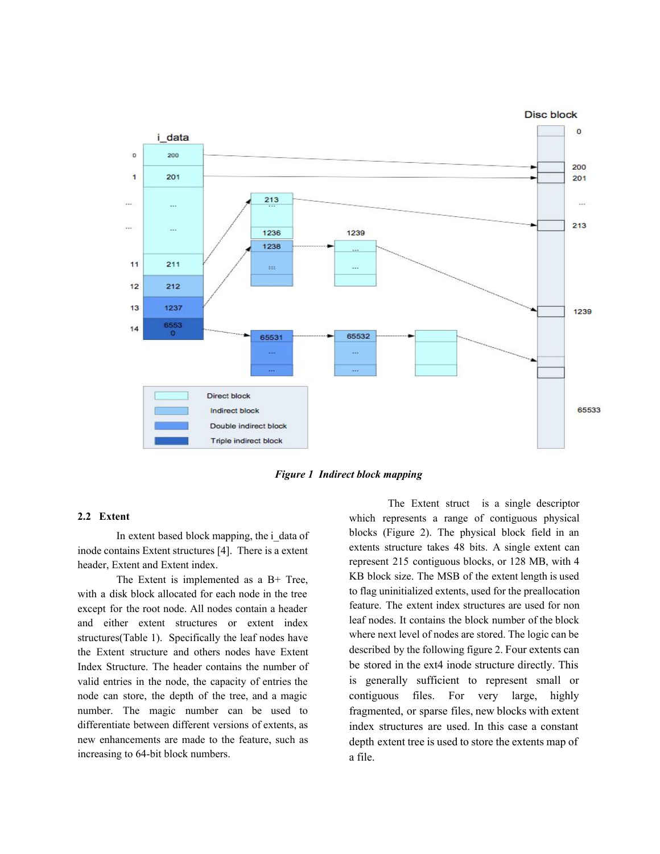

*Figure 1 Indirect block mapping*

## **2.2 Extent**

In extent based block mapping, the i\_data of inode contains Extent structures [4]. There is a extent header, Extent and Extent index.

The Extent is implemented as a B+ Tree, with a disk block allocated for each node in the tree except for the root node. All nodes contain a header and either extent structures or extent index structures(Table 1). Specifically the leaf nodes have the Extent structure and others nodes have Extent Index Structure. The header contains the number of valid entries in the node, the capacity of entries the node can store, the depth of the tree, and a magic number. The magic number can be used to differentiate between different versions of extents, as new enhancements are made to the feature, such as increasing to 64-bit block numbers.

The Extent struct is a single descriptor which represents a range of contiguous physical blocks (Figure 2). The physical block field in an extents structure takes 48 bits. A single extent can represent 215 contiguous blocks, or 128 MB, with 4 KB block size. The MSB of the extent length is used to flag uninitialized extents, used for the preallocation feature. The extent index structures are used for non leaf nodes. It contains the block number of the block where next level of nodes are stored. The logic can be described by the following figure 2. Four extents can be stored in the ext4 inode structure directly. This is generally sufficient to represent small or contiguous files. For very large, highly fragmented, or sparse files, new blocks with extent index structures are used. In this case a constant depth extent tree is used to store the extents map of a file.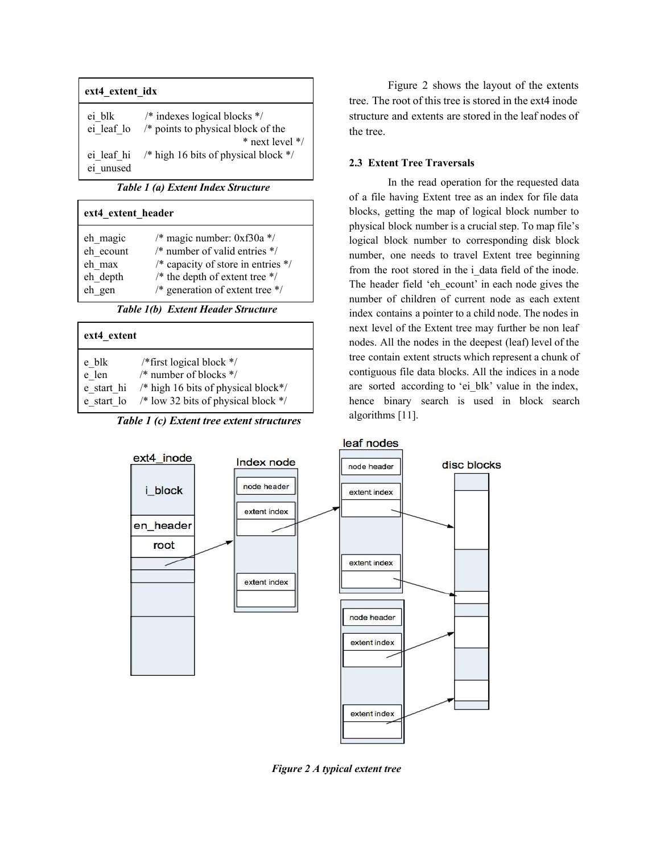| ext4 extent idx         |                                                                                     |  |  |  |
|-------------------------|-------------------------------------------------------------------------------------|--|--|--|
| ei blk                  | $/*$ indexes logical blocks $*/$<br>ei leaf lo $/*$ points to physical block of the |  |  |  |
| ei leaf hi<br>ei unused | $*$ next level $*/$<br>/* high 16 bits of physical block $*/$                       |  |  |  |

*Table 1 (a) Extent Index Structure*

| ext4 extent header |                                                     |  |  |  |
|--------------------|-----------------------------------------------------|--|--|--|
| eh magic           | /* magic number: $0xf30a$ */                        |  |  |  |
| eh ecount          | $\frac{*}{*}$ number of valid entries $\frac{*}{*}$ |  |  |  |
| eh max             | /* capacity of store in entries $*/$                |  |  |  |
| eh depth           | /* the depth of extent tree $*/$                    |  |  |  |
| eh gen             | /* generation of extent tree $*/$                   |  |  |  |

*Table 1(b) Extent Header Structure*

| ext4 extent |                                                 |  |  |  |
|-------------|-------------------------------------------------|--|--|--|
| e blk       | /*first logical block $*/$                      |  |  |  |
| e len       | /* number of blocks */                          |  |  |  |
| e start hi  | /* high 16 bits of physical block $\frac{*}{s}$ |  |  |  |
| e start lo  | /* low 32 bits of physical block $*/$           |  |  |  |

*Table 1 (c) Extent tree extent structures*

Figure 2 shows the layout of the extents tree. The root of this tree is stored in the ext4 inode structure and extents are stored in the leaf nodes of the tree.

# **2.3 Extent Tree Traversals**

In the read operation for the requested data of a file having Extent tree as an index for file data blocks, getting the map of logical block number to physical block number is a crucial step. To map file's logical block number to corresponding disk block number, one needs to travel Extent tree beginning from the root stored in the i\_data field of the inode. The header field 'eh ecount' in each node gives the number of children of current node as each extent index contains a pointer to a child node. The nodes in next level of the Extent tree may further be non leaf nodes. All the nodes in the deepest (leaf) level of the tree contain extent structs which represent a chunk of contiguous file data blocks. All the indices in a node are sorted according to 'ei blk' value in the index, hence binary search is used in block search algorithms [11].



*Figure 2 A typical extent tree*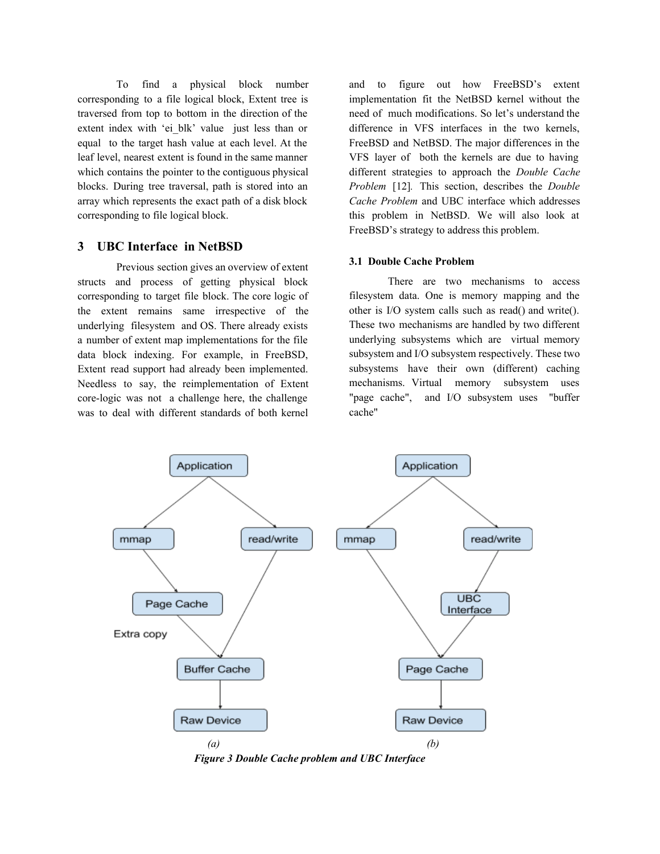To find a physical block number corresponding to a file logical block, Extent tree is traversed from top to bottom in the direction of the extent index with 'ei blk' value just less than or equal to the target hash value at each level. At the leaf level, nearest extent is found in the same manner which contains the pointer to the contiguous physical blocks. During tree traversal, path is stored into an array which represents the exact path of a disk block corresponding to file logical block.

# **3 UBC Interface in NetBSD**

Previous section gives an overview of extent structs and process of getting physical block corresponding to target file block. The core logic of the extent remains same irrespective of the underlying filesystem and OS. There already exists a number of extent map implementations for the file data block indexing. For example, in FreeBSD, Extent read support had already been implemented. Needless to say, the reimplementation of Extent core-logic was not a challenge here, the challenge was to deal with different standards of both kernel

and to figure out how FreeBSD's extent implementation fit the NetBSD kernel without the need of much modifications. So let's understand the difference in VFS interfaces in the two kernels, FreeBSD and NetBSD. The major differences in the VFS layer of both the kernels are due to having different strategies to approach the *Double Cache Problem* [12]*.* This section, describes the *Double Cache Problem* and UBC interface which addresses this problem in NetBSD. We will also look at FreeBSD's strategy to address this problem.

#### **3.1 Double Cache Problem**

There are two mechanisms to access filesystem data. One is memory mapping and the other is I/O system calls such as read() and write(). These two mechanisms are handled by two different underlying subsystems which are virtual memory subsystem and I/O subsystem respectively. These two subsystems have their own (different) caching mechanisms. Virtual memory subsystem uses "page cache", and I/O subsystem uses "buffer cache"



*Figure 3 Double Cache problem and UBC Interface*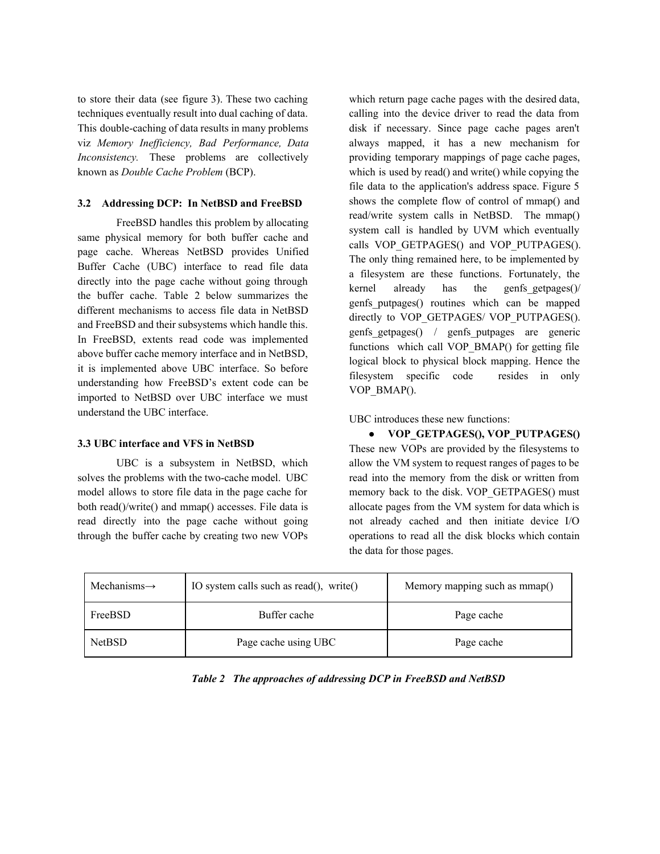to store their data (see figure 3). These two caching techniques eventually result into dual caching of data. This double-caching of data results in many problems viz *Memory Inefficiency, Bad Performance, Data Inconsistency*. These problems are collectively known as *Double Cache Problem* (BCP).

## **3.2 Addressing DCP: In NetBSD and FreeBSD**

FreeBSD handles this problem by allocating same physical memory for both buffer cache and page cache. Whereas NetBSD provides Unified Buffer Cache (UBC) interface to read file data directly into the page cache without going through the buffer cache. Table 2 below summarizes the different mechanisms to access file data in NetBSD and FreeBSD and their subsystems which handle this. In FreeBSD, extents read code was implemented above buffer cache memory interface and in NetBSD, it is implemented above UBC interface. So before understanding how FreeBSD's extent code can be imported to NetBSD over UBC interface we must understand the UBC interface.

## **3.3 UBC interface and VFS in NetBSD**

UBC is a subsystem in NetBSD, which solves the problems with the two-cache model. UBC model allows to store file data in the page cache for both read()/write() and mmap() accesses. File data is read directly into the page cache without going through the buffer cache by creating two new VOPs which return page cache pages with the desired data, calling into the device driver to read the data from disk if necessary. Since page cache pages aren't always mapped, it has a new mechanism for providing temporary mappings of page cache pages, which is used by read() and write() while copying the file data to the application's address space. Figure 5 shows the complete flow of control of mmap() and read/write system calls in NetBSD. The mmap() system call is handled by UVM which eventually calls VOP GETPAGES() and VOP PUTPAGES(). The only thing remained here, to be implemented by a filesystem are these functions. Fortunately, the kernel already has the genfs\_getpages()/ genfs\_putpages() routines which can be mapped directly to VOP GETPAGES/ VOP PUTPAGES(). genfs getpages() / genfs putpages are generic functions which call VOP\_BMAP() for getting file logical block to physical block mapping. Hence the filesystem specific code resides in only VOP\_BMAP().

UBC introduces these new functions:

● **VOP\_GETPAGES(), VOP\_PUTPAGES()** These new VOPs are provided by the filesystems to allow the VM system to request ranges of pages to be read into the memory from the disk or written from memory back to the disk. VOP GETPAGES() must allocate pages from the VM system for data which is not already cached and then initiate device I/O operations to read all the disk blocks which contain the data for those pages.

| Mechanisms $\rightarrow$ | IO system calls such as read(), write() | Memory mapping such as mmap() |
|--------------------------|-----------------------------------------|-------------------------------|
| FreeBSD                  | Buffer cache                            | Page cache                    |
| <b>NetBSD</b>            | Page cache using UBC                    | Page cache                    |

*Table 2 The approaches of addressing DCP in FreeBSD and NetBSD*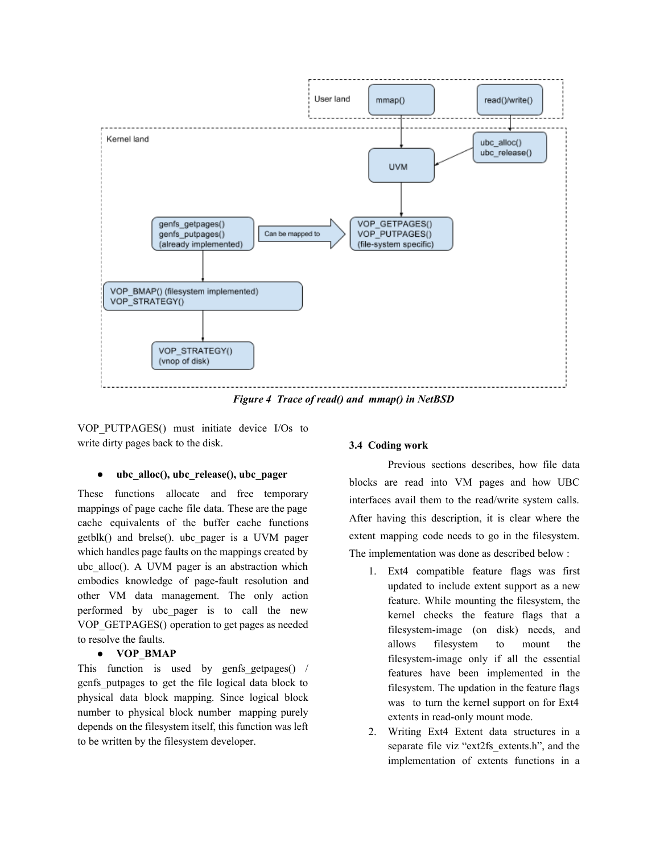

*Figure 4 Trace of read() and mmap() in NetBSD*

VOP\_PUTPAGES() must initiate device I/Os to write dirty pages back to the disk.

#### ubc alloc(), ubc release(), ubc pager

These functions allocate and free temporary mappings of page cache file data. These are the page cache equivalents of the buffer cache functions getblk() and brelse(). ubc\_pager is a UVM pager which handles page faults on the mappings created by ubc\_alloc(). A UVM pager is an abstraction which embodies knowledge of page-fault resolution and other VM data management. The only action performed by ubc\_pager is to call the new VOP\_GETPAGES() operation to get pages as needed to resolve the faults.

#### **● VOP\_BMAP**

This function is used by genfs getpages() / genfs\_putpages to get the file logical data block to physical data block mapping. Since logical block number to physical block number mapping purely depends on the filesystem itself, this function was left to be written by the filesystem developer.

## **3.4 Coding work**

Previous sections describes, how file data blocks are read into VM pages and how UBC interfaces avail them to the read/write system calls. After having this description, it is clear where the extent mapping code needs to go in the filesystem. The implementation was done as described below :

- 1. Ext4 compatible feature flags was first updated to include extent support as a new feature. While mounting the filesystem, the kernel checks the feature flags that a filesystem-image (on disk) needs, and allows filesystem to mount the filesystem-image only if all the essential features have been implemented in the filesystem. The updation in the feature flags was to turn the kernel support on for Ext4 extents in read-only mount mode.
- 2. Writing Ext4 Extent data structures in a separate file viz "ext2fs extents.h", and the implementation of extents functions in a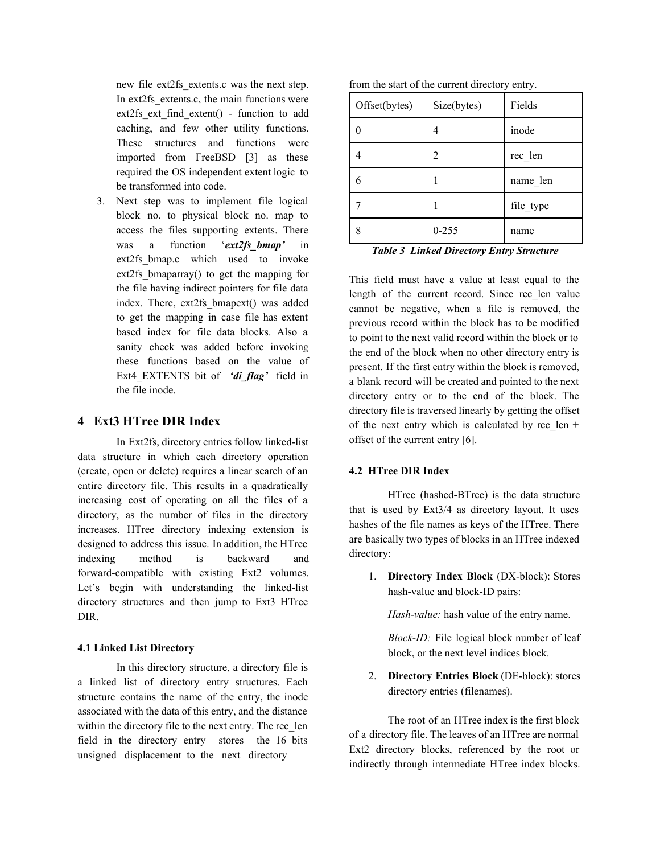new file ext2fs\_extents.c was the next step. In ext2fs extents.c, the main functions were ext2fs ext find extent() - function to add caching, and few other utility functions. These structures and functions were imported from FreeBSD [3] as these required the OS independent extent logic to be transformed into code.

3. Next step was to implement file logical block no. to physical block no. map to access the files supporting extents. There was a function '*ext2fs\_bmap'* in ext2fs bmap.c which used to invoke ext2fs bmaparray() to get the mapping for the file having indirect pointers for file data index. There, ext2fs\_bmapext() was added to get the mapping in case file has extent based index for file data blocks. Also a sanity check was added before invoking these functions based on the value of Ext4\_EXTENTS bit of *'di\_flag'* field in the file inode.

## **4 Ext3 HTree DIR Index**

In Ext2fs, directory entries follow linked-list data structure in which each directory operation (create, open or delete) requires a linear search of an entire directory file. This results in a quadratically increasing cost of operating on all the files of a directory, as the number of files in the directory increases. HTree directory indexing extension is designed to address this issue. In addition, the HTree indexing method is backward and forward-compatible with existing Ext2 volumes. Let's begin with understanding the linked-list directory structures and then jump to Ext3 HTree DIR.

#### **4.1 Linked List Directory**

In this directory structure, a directory file is a linked list of directory entry structures. Each structure contains the name of the entry, the inode associated with the data of this entry, and the distance within the directory file to the next entry. The rec\_len field in the directory entry stores the 16 bits unsigned displacement to the next directory

|  |  | from the start of the current directory entry. |  |  |
|--|--|------------------------------------------------|--|--|
|  |  |                                                |  |  |

| Offset(bytes) | Size(bytes) | Fields    |
|---------------|-------------|-----------|
|               |             | inode     |
|               | 2           | rec len   |
| 6             |             | name len  |
|               |             | file_type |
|               | $0 - 255$   | name      |

*Table 3 Linked Directory Entry Structure*

This field must have a value at least equal to the length of the current record. Since rec\_len value cannot be negative, when a file is removed, the previous record within the block has to be modified to point to the next valid record within the block or to the end of the block when no other directory entry is present. If the first entry within the block is removed, a blank record will be created and pointed to the next directory entry or to the end of the block. The directory file is traversed linearly by getting the offset of the next entry which is calculated by rec len + offset of the current entry [6].

## **4.2 HTree DIR Index**

HTree (hashed-BTree) is the data structure that is used by Ext3/4 as directory layout. It uses hashes of the file names as keys of the HTree. There are basically two types of blocks in an HTree indexed directory:

1. **Directory Index Block** (DX-block): Stores hash-value and block-ID pairs:

*Hash-value:* hash value of the entry name.

*Block-ID:* File logical block number of leaf block, or the next level indices block.

2. **Directory Entries Block** (DE-block): stores directory entries (filenames).

The root of an HTree index is the first block of a directory file. The leaves of an HTree are normal Ext2 directory blocks, referenced by the root or indirectly through intermediate HTree index blocks.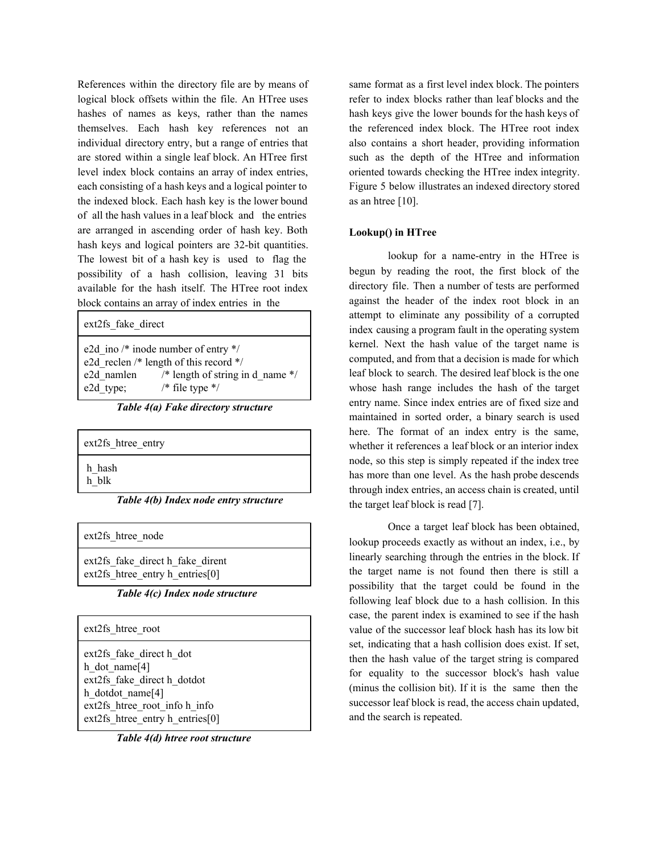References within the directory file are by means of logical block offsets within the file. An HTree uses hashes of names as keys, rather than the names themselves. Each hash key references not an individual directory entry, but a range of entries that are stored within a single leaf block. An HTree first level index block contains an array of index entries, each consisting of a hash keys and a logical pointer to the indexed block. Each hash key is the lower bound of all the hash values in a leaf block and the entries are arranged in ascending order of hash key. Both hash keys and logical pointers are 32-bit quantities. The lowest bit of a hash key is used to flag the possibility of a hash collision, leaving 31 bits available for the hash itself. The HTree root index block contains an array of index entries in the

ext2fs\_fake\_direct

e2d ino /\* inode number of entry \*/ e2d\_reclen /\* length of this record \*/ e2d namlen  $/*$  length of string in d\_name \*/ e2d type;  $/*$  file type  $*/$ 

*Table 4(a) Fake directory structure*

| ext2fs htree entry                             |
|------------------------------------------------|
| h hash                                         |
| h blk<br>Table 4(b) Index node entry structure |

ext2fs htree node

ext2fs fake direct h fake dirent ext2fs htree\_entry h\_entries[0]

*Table 4(c) Index node structure*

| ext2fs htree root                                                                                                                                                   |  |
|---------------------------------------------------------------------------------------------------------------------------------------------------------------------|--|
| ext2fs fake direct h dot<br>h dot name $[4]$<br>ext2fs fake direct h dotdot<br>h dotdot name[4]<br>ext2fs htree root info h info<br>ext2fs htree entry h entries[0] |  |

*Table 4(d) htree root structure*

same format as a first level index block. The pointers refer to index blocks rather than leaf blocks and the hash keys give the lower bounds for the hash keys of the referenced index block. The HTree root index also contains a short header, providing information such as the depth of the HTree and information oriented towards checking the HTree index integrity. Figure 5 below illustrates an indexed directory stored as an htree  $[10]$ .

## **Lookup() in HTree**

lookup for a name-entry in the HTree is begun by reading the root, the first block of the directory file. Then a number of tests are performed against the header of the index root block in an attempt to eliminate any possibility of a corrupted index causing a program fault in the operating system kernel. Next the hash value of the target name is computed, and from that a decision is made for which leaf block to search. The desired leaf block is the one whose hash range includes the hash of the target entry name. Since index entries are of fixed size and maintained in sorted order, a binary search is used here. The format of an index entry is the same, whether it references a leaf block or an interior index node, so this step is simply repeated if the index tree has more than one level. As the hash probe descends through index entries, an access chain is created, until the target leaf block is read [7].

Once a target leaf block has been obtained, lookup proceeds exactly as without an index, i.e., by linearly searching through the entries in the block. If the target name is not found then there is still a possibility that the target could be found in the following leaf block due to a hash collision. In this case, the parent index is examined to see if the hash value of the successor leaf block hash has its low bit set, indicating that a hash collision does exist. If set, then the hash value of the target string is compared for equality to the successor block's hash value (minus the collision bit). If it is the same then the successor leaf block is read, the access chain updated, and the search is repeated.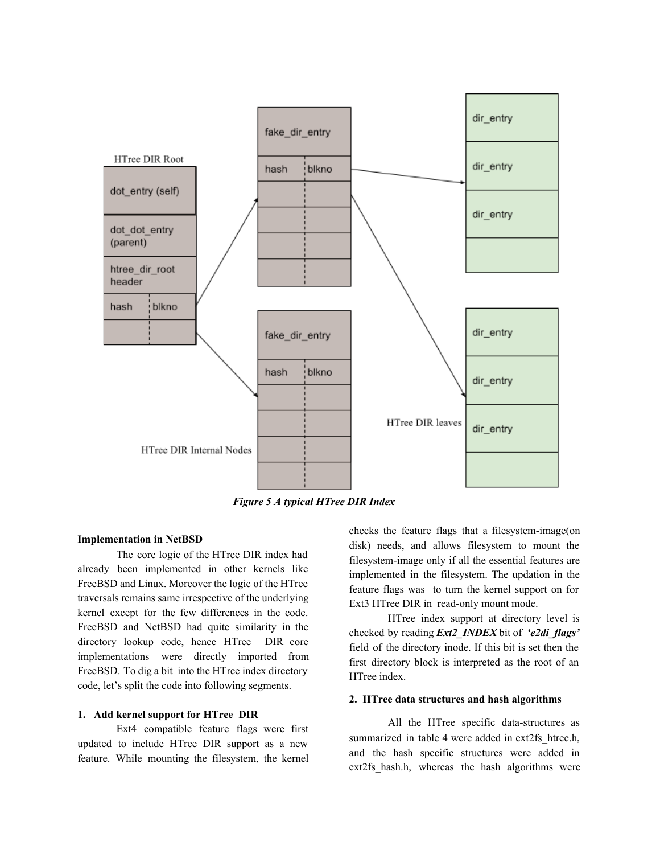

*Figure 5 A typical HTree DIR Index*

## **Implementation in NetBSD**

The core logic of the HTree DIR index had already been implemented in other kernels like FreeBSD and Linux. Moreover the logic of the HTree traversals remains same irrespective of the underlying kernel except for the few differences in the code. FreeBSD and NetBSD had quite similarity in the directory lookup code, hence HTree DIR core implementations were directly imported from FreeBSD. To dig a bit into the HTree index directory code, let's split the code into following segments.

#### **1. Add kernel support for HTree DIR**

Ext4 compatible feature flags were first updated to include HTree DIR support as a new feature. While mounting the filesystem, the kernel checks the feature flags that a filesystem-image(on disk) needs, and allows filesystem to mount the filesystem-image only if all the essential features are implemented in the filesystem. The updation in the feature flags was to turn the kernel support on for Ext3 HTree DIR in read-only mount mode.

HTree index support at directory level is checked by reading *Ext2\_INDEX* bit of *'e2di\_flags'* field of the directory inode. If this bit is set then the first directory block is interpreted as the root of an HTree index.

## **2. HTree data structures and hash algorithms**

All the HTree specific data-structures as summarized in table 4 were added in ext2fs htree.h, and the hash specific structures were added in ext2fs hash.h, whereas the hash algorithms were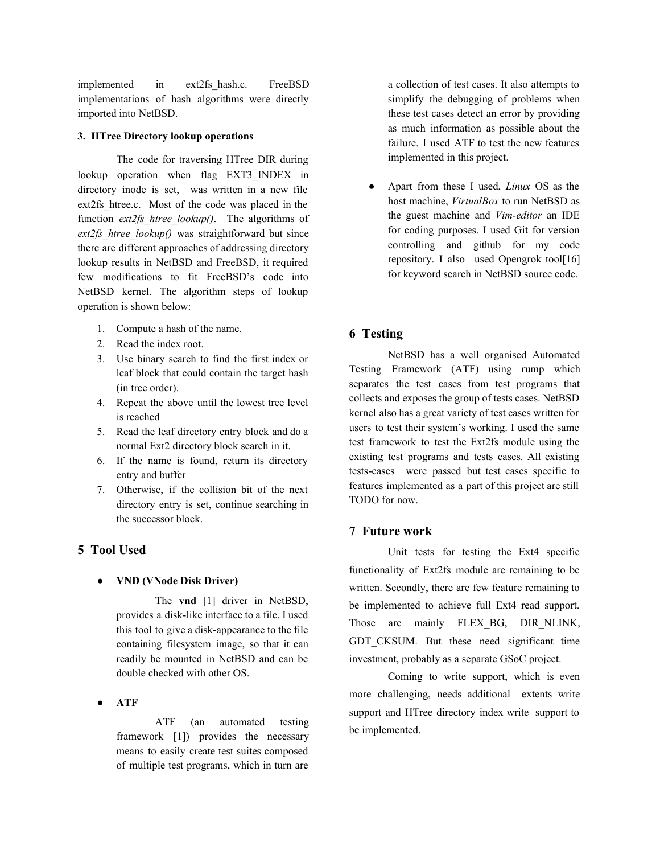implemented in ext2fs\_hash.c. FreeBSD implementations of hash algorithms were directly imported into NetBSD.

## **3. HTree Directory lookup operations**

The code for traversing HTree DIR during lookup operation when flag EXT3\_INDEX in directory inode is set, was written in a new file ext2fs htree.c. Most of the code was placed in the function *ext2fs* htree lookup(). The algorithms of *ext2fs\_htree\_lookup()* was straightforward but since there are different approaches of addressing directory lookup results in NetBSD and FreeBSD, it required few modifications to fit FreeBSD's code into NetBSD kernel. The algorithm steps of lookup operation is shown below:

- 1. Compute a hash of the name.
- 2. Read the index root.
- 3. Use binary search to find the first index or leaf block that could contain the target hash (in tree order).
- 4. Repeat the above until the lowest tree level is reached
- 5. Read the leaf directory entry block and do a normal Ext2 directory block search in it.
- 6. If the name is found, return its directory entry and buffer
- 7. Otherwise, if the collision bit of the next directory entry is set, continue searching in the successor block.

# **5 Tool Used**

## **● VND (VNode Disk Driver)**

The **vnd** [1] driver in NetBSD, provides a disk-like interface to a file. I used this tool to give a disk-appearance to the file containing filesystem image, so that it can readily be mounted in NetBSD and can be double checked with other OS.

**● ATF**

ATF (an automated testing framework [1]) provides the necessary means to easily create test suites composed of multiple test programs, which in turn are a collection of test cases. It also attempts to simplify the debugging of problems when these test cases detect an error by providing as much information as possible about the failure. I used ATF to test the new features implemented in this project.

● Apart from these I used, *Linux* OS as the host machine, *VirtualBox* to run NetBSD as the guest machine and *Vim-editor* an IDE for coding purposes. I used Git for version controlling and github for my code repository. I also used Opengrok tool[16] for keyword search in NetBSD source code.

# **6 Testing**

NetBSD has a well organised Automated Testing Framework (ATF) using rump which separates the test cases from test programs that collects and exposes the group of tests cases. NetBSD kernel also has a great variety of test cases written for users to test their system's working. I used the same test framework to test the Ext2fs module using the existing test programs and tests cases. All existing tests-cases were passed but test cases specific to features implemented as a part of this project are still TODO for now.

## **7 Future work**

Unit tests for testing the Ext4 specific functionality of Ext2fs module are remaining to be written. Secondly, there are few feature remaining to be implemented to achieve full Ext4 read support. Those are mainly FLEX BG, DIR NLINK, GDT CKSUM. But these need significant time investment, probably as a separate GSoC project.

Coming to write support, which is even more challenging, needs additional extents write support and HTree directory index write support to be implemented.